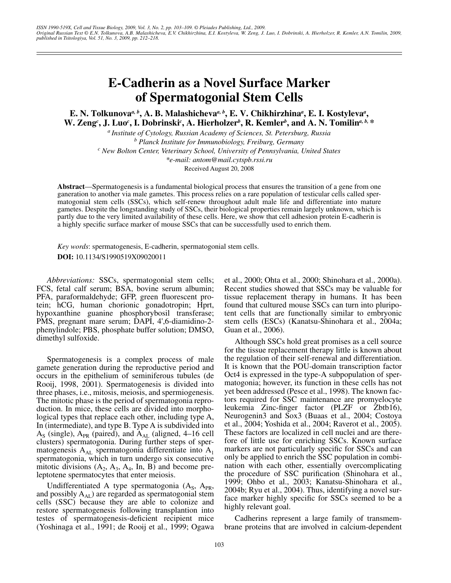# **E-Cadherin as a Novel Surface Marker of Spermatogonial Stem Cells**

**E. N. Tolkunova***a, b***, A. B. Malashicheva***a, b***, E. V. Chikhirzhina***<sup>a</sup>* **, E. I. Kostyleva***<sup>a</sup>* **, W. Zeng***<sup>c</sup>* **, J. Luo***<sup>c</sup>* **, I. Dobrinski***<sup>c</sup>* **, A. Hierholzer***<sup>b</sup>* **, R. Kemler***<sup>b</sup>* **, and A. N. Tomilin***a, b,* **\***

*a Institute of Cytology, Russian Academy of Sciences, St. Petersburg, Russia b Planck Institute for Immunobiology, Freiburg, Germany c New Bolton Center, Veterinary School, University of Pennsylvania, United States \*e-mail: antom@mail.cytspb.rssi.ru* Received August 20, 2008

**Abstract**—Spermatogenesis is a fundamental biological process that ensures the transition of a gene from one ganeration to another via male gametes. This process relies on a rare population of testicular cells called spermatogonial stem cells (SSCs), which self-renew throughout adult male life and differentiate into mature gametes. Despite the longstanding study of SSCs, their biological properties remain largely unknown, which is partly due to the very limited availability of these cells. Here, we show that cell adhesion protein E-cadherin is a highly specific surface marker of mouse SSCs that can be successfully used to enrich them.

*Key words*: spermatogenesis, E-cadherin, spermatogonial stem cells. **DOI:** 10.1134/S1990519X09020011

*Abbreviations:* SSCs, spermatogonial stem cells; FCS, fetal calf serum; BSA, bovine serum albumin; PFA, paraformaldehyde; GFP, green fluorescent protein; hCG, human chorionic gonadotropin; Hprt, hypoxanthine guanine phosphorybosil transferase; PMS, pregnant mare serum; DAPI, 4',6-diamidino-2 phenylindole; PBS, phosphate buffer solution; DMSO, dimethyl sulfoxide.

Spermatogenesis is a complex process of male gamete generation during the reproductive period and occurs in the epithelium of seminiferous tubules (de Rooij, 1998, 2001). Spermatogenesis is divided into three phases, i.e., mitosis, meiosis, and spermiogenesis. The mitotic phase is the period of spermatogonia reproduction. In mice, these cells are divided into morphological types that replace each other, including type A, In (intermediate), and type B. Type A is subdivided into  $A<sub>S</sub>$  (single),  $A<sub>PR</sub>$  (paired), and  $A<sub>AL</sub>$  (aligned, 4–16 cell clusters) spermatogonia. During further steps of spermatogenesis  $A_{AL}$  spermatogonia differentiate into  $A_1$ spermatogonia, which in turn undergo six consecutive mitotic divisions  $(A_2, A_3, A_4, In, B)$  and become preleptotene spermatocytes that enter meiosis.

Undifferentiated A type spermatogonia  $(A<sub>S</sub>, A<sub>PR</sub>)$ , and possibly  $A_{AL}$ ) are regarded as spermatogonial stem cells (SSC) because they are able to colonize and restore spermatogenesis following transplantion into testes of spermatogenesis-deficient recipient mice (Yoshinaga et al., 1991; de Rooij et al., 1999; Ogawa et al., 2000; Ohta et al., 2000; Shinohara et al., 2000a). Recent studies showed that SSCs may be valuable for tissue replacement therapy in humans. It has been found that cultured mouse SSCs can turn into pluripotent cells that are functionally similar to embryonic stem cells (ESCs) (Kanatsu-Shinohara et al., 2004a; Guan et al., 2006).

Although SSCs hold great promises as a cell source for the tissue replacement therapy little is known about the regulation of their self-renewal and differentiation. It is known that the POU-domain transcription factor Oct4 is expressed in the type-A subpopulation of spermatogonia; however, its function in these cells has not yet been addressed (Pesce et al., 1998). The known factors required for SSC maintenance are promyelocyte leukemia Zinc-finger factor (PLZF or Zbtb16), Neurogenin3 and Sox3 (Buaas et al., 2004; Costoya et al., 2004; Yoshida et al., 2004; Raverot et al., 2005). These factors are localized in cell nuclei and are therefore of little use for enriching SSCs. Known surface markers are not particularly specific for SSCs and can only be applied to enrich the SSC population in combination with each other, essentially overcomplicating the procedure of SSC purification (Shinohara et al., 1999; Ohbo et al., 2003; Kanatsu-Shinohara et al., 2004b; Ryu et al., 2004). Thus, identifying a novel surface marker highly specific for SSCs seemed to be a highly relevant goal.

Cadherins represent a large family of transmembrane proteins that are involved in calcium-dependent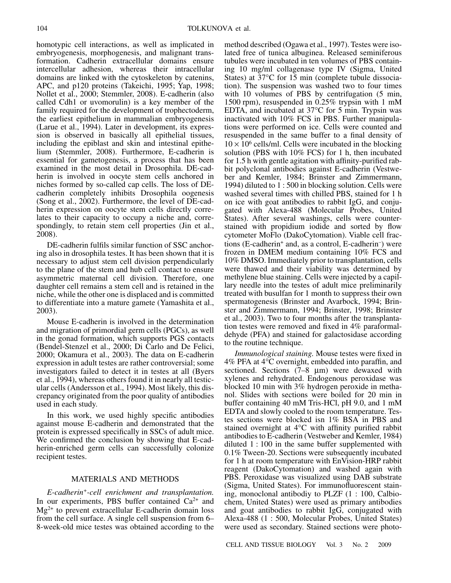homotypic cell interactions, as well as implicated in embryogenesis, morphogenesis, and malignant transformation. Cadherin extracellular domains ensure intercellular adhesion, whereas their intracellular domains are linked with the cytoskeleton by catenins, APC, and p120 proteins (Takeichi, 1995; Yap, 1998; Nollet et al., 2000; Stemmler, 2008). E-cadherin (also called Cdh1 or uvomorulin) is a key member of the family required for the development of trophectoderm, the earliest epithelium in mammalian embryogenesis (Larue et al., 1994). Later in development, its expression is observed in basically all epithelial tissues, including the epiblast and skin and intestinal epithelium (Stemmler, 2008). Furthermore, E-cadherin is essential for gametogenesis, a process that has been examined in the most detail in Drosophila. DE-cadherin is involved in oocyte stem cells anchored in niches formed by so-called cap cells. The loss of DEcadherin completely inhibits Drosophila oogenesis (Song et al., 2002). Furthermore, the level of DE-cadherin expression on oocyte stem cells directly correlates to their capacity to occupy a niche and, correspondingly, to retain stem cell properties (Jin et al., 2008).

DE-cadherin fulfils similar function of SSC anchoring also in drosophila testes. It has been shown that it is necessary to adjust stem cell division perpendicularly to the plane of the stem and hub cell contact to ensure asymmetric maternal cell division. Therefore, one daughter cell remains a stem cell and is retained in the niche, while the other one is displaced and is committed to differentiate into a mature gamete (Yamashita et al., 2003).

Mouse E-cadherin is involved in the determination and migration of primordial germ cells (PGCs), as well in the gonad formation, which supports PGS contacts (Bendel-Stenzel et al., 2000; Di Carlo and De Felici, 2000; Okamura et al., 2003). The data on E-cadherin expression in adult testes are rather controversial; some investigators failed to detect it in testes at all (Byers et al., 1994), whereas others found it in nearly all testicular cells (Andersson et al., 1994). Most likely, this discrepancy originated from the poor quality of antibodies used in each study.

In this work, we used highly specific antibodies against mouse E-cadherin and demonstrated that the protein is expressed specifically in SSCs of adult mice. We confirmed the conclusion by showing that E-cadherin-enriched germ cells can successfully colonize recipient testes.

## MATERIALS AND METHODS

*E-cadherin+-cell enrichment and transplantation.* In our experiments, PBS buffer contained  $Ca^{2+}$  and  $Mg^{2+}$  to prevent extracellular E-cadherin domain loss from the cell surface. A single cell suspension from 6– 8-week-old mice testes was obtained according to the method described (Ogawa et al., 1997). Testes were isolated free of tunica albuginea. Released seminiferous tubules were incubated in ten volumes of PBS containing 10 mg/ml collagenase type IV (Sigma, United States) at 37°C for 15 min (complete tubule dissociation). The suspension was washed two to four times with 10 volumes of PBS by centrifugation  $(5 \text{ min},$ 1500 rpm), resuspended in 0.25% trypsin with 1 mM EDTA, and incubated at 37°C for 5 min. Trypsin was inactivated with 10% FCS in PBS. Further manipulations were performed on ice. Cells were counted and resuspended in the same buffer to a final density of  $10 \times 10^6$  cells/ml. Cells were incubated in the blocking solution (PBS with 10% FCS) for 1 h, then incubated for 1.5 h with gentle agitation with affinity-purified rabbit polyclonal antibodies against E-cadherin (Vestweber and Kemler, 1984; Brinster and Zimmermann, 1994) diluted to 1 : 500 in blocking solution. Cells were washed several times with chilled PBS, stained for 1 h on ice with goat antibodies to rabbit IgG, and conjugated with Alexa-488 (Molecular Probes, United States). After several washings, cells were counterstained with propidium iodide and sorted by flow cytometer MoFlo (DakoCytomation). Viable cell fractions (E-cadherin+ and, as a control, E-cadherin– ) were frozen in DMEM medium containing 10% FCS and 10% DMSO. Immediately prior to transplantation, cells were thawed and their viability was determined by methylene blue staining. Cells were injected by a capillary needle into the testes of adult mice preliminarily treated with busulfan for 1 month to suppress their own spermatogenesis (Brinster and Avarbock, 1994; Brinster and Zimmermann, 1994; Brinster, 1998; Brinster et al., 2003). Two to four months after the transplantation testes were removed and fixed in 4% paraformaldehyde (PFA) and stained for galactosidase according to the routine technique.

*Immunological staining.* Mouse testes were fixed in 4% PFA at 4°C overnight, embedded into paraffin, and sectioned. Sections (7–8 μm) were dewaxed with xylenes and rehydrated. Endogenous peroxidase was blocked 10 min with 3% hydrogen peroxide in methanol. Slides with sections were boiled for 20 min in buffer containing 40 mM Tris-HCl, pH 9.0, and 1 mM EDTA and slowly cooled to the room temperature. Testes sections were blocked isn 1% BSA in PBS and stained overnight at 4°C with affinity purified rabbit antibodies to E-cadherin (Vestweber and Kemler, 1984) diluted 1 : 100 in the same buffer supplemented with 0.1% Tween-20. Sections were subsequently incubated for 1 h at room temperature with EnVision-HRP rabbit reagent (DakoCytomation) and washed again with PBS. Peroxidase was visualized using DAB substrate (Sigma, United States). For immunofluorescent staining, monoclonal antibodiy to PLZF (1 : 100, Calbiochem, United States) were used as primary antibodies and goat antibodies to rabbit IgG, conjugated with Alexa-488 (1 : 500, Molecular Probes, United States) were used as secondary. Stained sections were photo-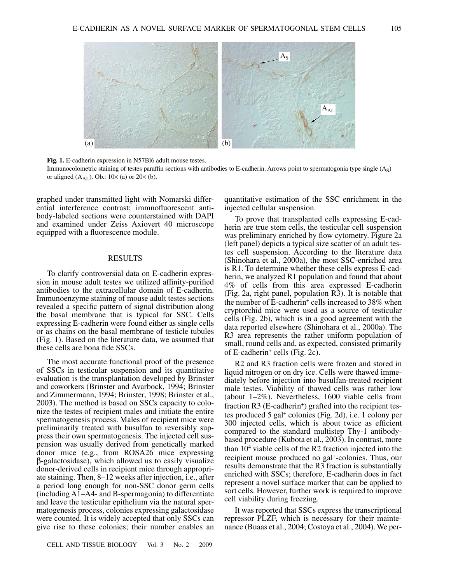

**Fig. 1.** E-cadherin expression in N57Bl6 adult mouse testes.

Immunocolometric staining of testes paraffin sections with antibodies to E-cadherin. Arrows point to spermatogonia type single  $(A<sub>S</sub>)$ or aligned  $(A_{AI})$ . Ob.:  $10 \times (a)$  or  $20 \times (b)$ .

graphed under transmitted light with Nomarski differential interference contrast; immnofluorescent antibody-labeled sections were counterstained with DAPI and examined under Zeiss Axiovert 40 microscope equipped with a fluorescence module.

### RESULTS

To clarify controversial data on E-cadherin expression in mouse adult testes we utilized affinity-purified antibodies to the extracellular domain of E-cadherin. Immunoenzyme staining of mouse adult testes sections revealed a specific pattern of signal distribution along the basal membrane that is typical for SSC. Cells expressing E-cadherin were found either as single cells or as chains on the basal membrane of testicle tubules (Fig. 1). Based on the literature data, we assumed that these cells are bona fide SSCs.

The most accurate functional proof of the presence of SSCs in testicular suspension and its quantitative evaluation is the transplantation developed by Brinster and coworkers (Brinster and Avarbock, 1994; Brinster and Zimmermann, 1994; Brinster, 1998; Brinster et al., 2003). The method is based on SSCs capacity to colonize the testes of recipient males and initiate the entire spermatogenesis process. Males of recipient mice were preliminarily treated with busulfan to reversibly suppress their own spermatogenesis. The injected cell suspension was usually derived from genetically marked donor mice (e.g., from ROSA26 mice expressing β-galactosidase), which allowed us to easily visualize donor-derived cells in recipient mice through appropriate staining. Then, 8–12 weeks after injection, i.e., after a period long enough for non-SSC donor germ cells (including A1–A4- and B-spermagonia) to differentiate and leave the testicular epithelium via the natural spermatogenesis process, colonies expressing galactosidase were counted. It is widely accepted that only SSCs can give rise to these colonies; their number enables an

quantitative estimation of the SSC enrichment in the injected cellular suspension.

To prove that transplanted cells expressing E-cadherin are true stem cells, the testicular cell suspension was preliminary enriched by flow cytometry. Figure 2a (left panel) depicts a typical size scatter of an adult testes cell suspension. According to the literature data (Shinohara et al., 2000a), the most SSC-enriched area is R1. To determine whether these cells express E-cadherin, we analyzed R1 population and found that about 4% of cells from this area expressed E-cadherin (Fig. 2a, right panel, population R3). It is notable that the number of E-cadherin<sup>+</sup> cells increased to 38% when cryptorchid mice were used as a source of testicular cells (Fig. 2b), which is in a good agreement with the data reported elsewhere (Shinohara et al., 2000a). The R3 area represents the rather uniform population of small, round cells and, as expected, consisted primarily of E-cadherin+ cells (Fig. 2c).

R2 and R3 fraction cells were frozen and stored in liquid nitrogen or on dry ice. Cells were thawed immediately before injection into busulfan-treated recipient male testes. Viability of thawed cells was rather low (about 1–2%). Nevertheless, 1600 viable cells from fraction  $R3$  (E-cadherin<sup>+</sup>) grafted into the recipient testes produced 5 gal+ colonies (Fig. 2d), i.e. 1 colony per 300 injected cells, which is about twice as efficient compared to the standard multistep Thy-1 antibodybased procedure (Kubota et al., 2003). In contrast, more than 10<sup>4</sup> viable cells of the R2 fraction injected into the recipient mouse produced no gal+-colonies. Thus, our results demonstrate that the R3 fraction is substantially enriched with SSCs; therefore, E-cadherin does in fact represent a novel surface marker that can be applied to sort cells. However, further work is required to improve cell viability during freezing.

It was reported that SSCs express the transcriptional repressor PLZF, which is necessary for their maintenance (Buaas et al., 2004; Costoya et al., 2004). We per-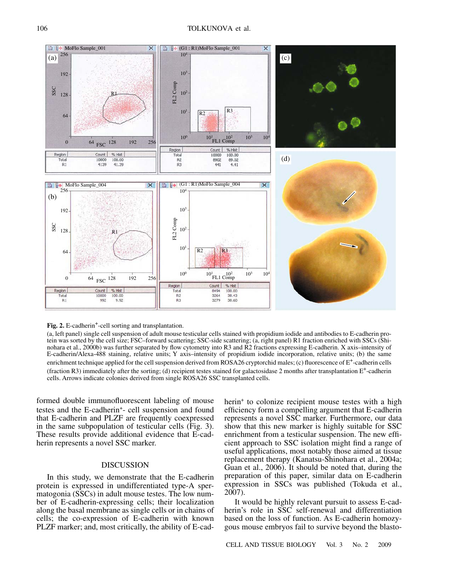

#### **Fig. 2.** E-cadherin<sup>+</sup>-cell sorting and transplantation.

(a, left panel) single cell suspension of adult mouse testicular cells stained with propidium iodide and antibodies to E-cadherin protein was sorted by the cell size; FSC–forward scattering; SSC-side scattering; (a, right panel) R1 fraction enriched with SSCs (Shinohara et al., 2000b) was further separated by flow cytometry into R3 and R2 fractions expressing E-cadherin. X axis–intensity of E-cadherin/Alexa-488 staining, relative units; Y axis–intensity of propidium iodide incorporation, relative units; (b) the same enrichment technique applied for the cell suspension derived from ROSA26 cryptorchid males; (c) fluorescence of E<sup>+</sup>-cadherin cells (fraction R3) immediately after the sorting; (d) recipient testes stained for galactosidase 2 months after transplantation  $E^+$ -cadherin cells. Arrows indicate colonies derived from single ROSA26 SSC transplanted cells.

formed double immunofluorescent labeling of mouse testes and the E-cadherin+- cell suspension and found that E-cadherin and PLZF are frequently coexpressed in the same subpopulation of testicular cells (Fig. 3). These results provide additional evidence that E-cadherin represents a novel SSC marker.

## DISCUSSION

In this study, we demonstrate that the E-cadherin protein is expressed in undifferentiated type-A spermatogonia (SSCs) in adult mouse testes. The low number of E-cadherin-expressing cells; their localization along the basal membrane as single cells or in chains of cells; the co-expression of E-cadherin with known PLZF marker; and, most critically, the ability of E-cadherin<sup>+</sup> to colonize recipient mouse testes with a high efficiency form a compelling argument that E-cadherin represents a novel SSC marker. Furthermore, our data show that this new marker is highly suitable for SSC enrichment from a testicular suspension. The new efficient approach to SSC isolation might find a range of useful applications, most notably those aimed at tissue replacement therapy (Kanatsu-Shinohara et al., 2004a; Guan et al., 2006). It should be noted that, during the preparation of this paper, similar data on E-cadherin expression in SSCs was published (Tokuda et al., 2007).

It would be highly relevant pursuit to assess E-cadherin's role in SSC self-renewal and differentiation based on the loss of function. As E-cadherin homozygous mouse embryos fail to survive beyond the blasto-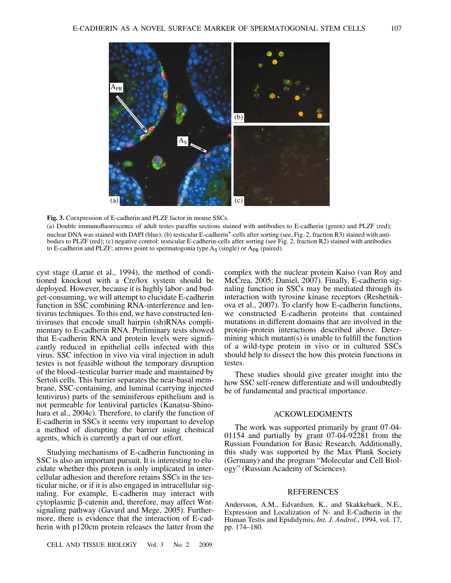

**Fig. 3.** Coexpression of E-cadherin and PLZF factor in mouse SSCs.

(a) Double immunofluorescence of adult testes paraffin sections stained with antibodies to E-cadherin (green) and PLZF (red); nuclear DNA was stained with DAPI (blue); (b) testicular E-cadherin<sup>+</sup>-cells after sorting (see, Fig. 2, fraction R3) stained with antibodies to PLZF (red); (c) negative control: testicular E-cadherin-cells after sorting (see Fig. 2, fraction R2) stained with antibodies to E-cadherin and PLZF; arrows point to spermatogonia type  $A_S$  (single) or  $A_{PR}$  (paired).

cyst stage (Larue et al., 1994), the method of conditioned knockout with a Cre/lox system should be deployed. However, because it is highly labor- and budget-consuming, we will attempt to elucidate E-cadherin function in SSC combining RNA-interference and lentivirus techniques. To this end, we have constructed lentiviruses that encode small hairpin (sh)RNAs complimentary to E-cadherin RNA. Preliminary tests showed that E-cadherin RNA and protein levels were significantly reduced in epithelial cells infected with this virus. SSC infection in vivo via viral injection in adult testes is not feasible without the temporary disruption of the blood–testicular barrier made and maintained by Sertoli cells. This barrier separates the near-basal membrane, SSC-containing, and luminal (carrying injected lentivirus) parts of the seminiferous epithelium and is not permeable for lentiviral particles (Kanatsu-Shinohara et al., 2004c). Therefore, to clarify the function of E-cadherin in SSCs it seems very important to develop a method of disrupting the barrier using chemical agents, which is currently a part of our effort.

Studying mechanisms of E-cadherin functioning in SSC is also an important pursuit. It is interesting to elucidate whether this protein is only implicated in intercellular adhesion and therefore retains SSCs in the testicular niche, or if it is also engaged in intracellular signaling. For example, E-cadherin may interact with cytoplasmic β-catenin and, therefore, may affect Wntsignaling pathway (Gavard and Mege, 2005). Furthermore, there is evidence that the interaction of E-cadherin with p120ctn protein releases the latter from the complex with the nuclear protein Kaiso (van Roy and McCrea, 2005; Daniel, 2007). Finally, E-cadherin signaling function in SSCs may be mediated through its interaction with tyrosine kinase receptors (Reshetnikova et al., 2007). To clarify how E-cadherin functions, we constructed E-cadherin proteins that contained mutations in different domains that are involved in the protein–protein interactions described above. Determining which mutant(s) is unable to fulfill the function of a wild-type protein in vivo or in cultured SSCs should help to dissect the how this protein functions in testes.

These studies should give greater insight into the how SSC self-renew differentiate and will undoubtedly be of fundamental and practical importance.

## ACKOWLEDGMENTS

The work was supported primarily by grant 07-04- 01154 and partially by grant 07-04-92281 from the Russian Foundation for Basic Research. Additionally, this study was supported by the Max Plank Society (Germany) and the program "Molecular and Cell Biology" (Russian Academy of Sciences).

#### REFERENCES

Andersson, A.M., Edvardsen, K., and Skakkebaek, N.E., Expression and Localization of N- and E-Cadherin in the Human Testis and Epididymis, *Int. J. Androl.*, 1994, vol. 17, pp. 174–180.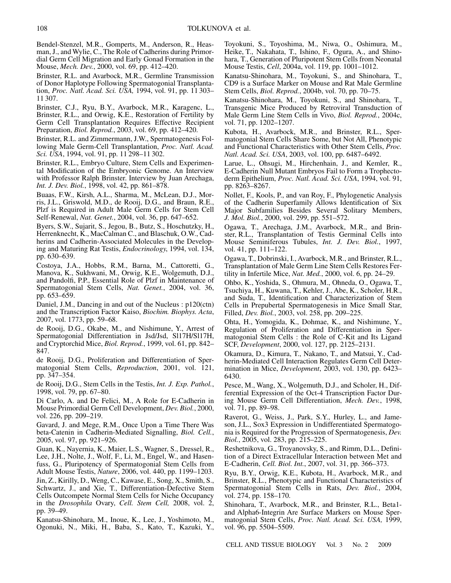Bendel-Stenzel, M.R., Gomperts, M., Anderson, R., Heasman, J., and Wylie, C., The Role of Cadherins during Primordial Germ Cell Migration and Early Gonad Formation in the Mouse, *Mech. Dev.*, 2000, vol. 69, pp. 412–420.

Brinster, R.L. and Avarbock, M.R., Germline Transmission of Donor Haplotype Following Spermatogonial Transplantation, *Proc. Natl. Acad. Sci. USA,* 1994, vol. 91, pp. 11 303– 11 307.

Brinster, C.J., Ryu, B.Y., Avarbock, M.R., Karagenc, L., Brinster, R.L., and Orwig, K.E., Restoration of Fertility by Germ Cell Transplantation Requires Effective Recipient Preparation, *Biol. Reprod.*, 2003, vol. 69, pp. 412–420.

Brinster, R.L. and Zimmermann, J.W., Spermatogenesis Following Male Germ-Cell Transplantation, *Proc. Natl. Acad. Sci. USA*, 1994, vol. 91, pp. 11 298–11 302.

Brinster, R.L., Embryo Culture, Stem Cells and Experimental Modification of the Embryonic Genome. An Interview with Professor Ralph Brinster. Interview by Juan Arechaga, *Int. J. Dev. Biol.*, 1998, vol. 42, pp. 861–878.

Buaas, F.W., Kirsh, A.L., Sharma, M., McLean, D.J., Morris, J.L., Griswold, M.D., de Rooij, D.G., and Braun, R.E., Plzf is Required in Adult Male Germ Cells for Stem Cell Self-Renewal, *Nat. Genet.*, 2004, vol. 36, pp. 647–652.

Byers, S.W., Sujarit, S., Jegou, B., Butz, S., Hoschutzky, H., Herrenknecht, K., MacCalman C., and Blaschuk, O.W., Cadherins and Cadherin-Associated Molecules in the Developing and Maturing Rat Testis, *Endocrinology*, 1994, vol. 134, pp. 630–639.

Costoya, J.A., Hobbs, R.M., Barna, M., Cattoretti, G., Manova, K., Sukhwani, M., Orwig, K.E., Wolgemuth, D.J., and Pandolfi, P.P., Essential Role of Plzf in Maintenance of Spermatogonial Stem Cells, *Nat. Genet.*, 2004, vol. 36, pp. 653–659.

Daniel, J.M., Dancing in and out of the Nucleus : p120(ctn) and the Transcription Factor Kaiso, *Biochim. Biophys. Acta*, 2007, vol. 1773, pp. 59–68.

de Rooij, D.G., Okabe, M., and Nishimune, Y., Arrest of Spermatogonial Differentiation in Jsd/Jsd, Sl17H/Sl17H, and Cryptorchid Mice, *Biol. Reprod.*, 1999, vol. 61, pp. 842– 847.

de Rooij, D.G., Proliferation and Differentiation of Spermatogonial Stem Cells, *Reproduction*, 2001, vol. 121, pp. 347–354.

de Rooij, D.G., Stem Cells in the Testis, *Int. J. Exp. Pathol.*, 1998, vol. 79, pp. 67–80.

Di Carlo, A. and De Felici, M., A Role for E-Cadherin in Mouse Primordial Germ Cell Development, *Dev. Biol.*, 2000, vol. 226, pp. 209–219.

Gavard, J. and Mege, R.M., Once Upon a Time There Was beta-Catenin in Cadherin-Mediated Signalling, *Biol. Cell.*, 2005, vol. 97, pp. 921–926.

Guan, K., Nayernia, K., Maier, L.S., Wagner, S., Dressel, R., Lee, J.H., Nolte, J., Wolf, F., Li, M., Engel, W., and Hasenfuss, G., Pluripotency of Spermatogonial Stem Cells from Adult Mouse Testis, *Nature*, 2006, vol. 440, pp. 1199–1203.

Jin, Z., Kirilly, D., Weng, C., Kawase, E., Song, X., Smith, S., Schwartz, J., and Xie, T., Differentiation-Defective Stem Cells Outcompete Normal Stem Cells for Niche Occupancy in the *Drosophila* Ovary, *Cell. Stem Cell,* 2008, vol. 2, pp. 39–49.

Kanatsu-Shinohara, M., Inoue, K., Lee, J., Yoshimoto, M., Ogonuki, N., Miki, H., Baba, S., Kato, T., Kazuki, Y., Toyokuni, S., Toyoshima, M., Niwa, O., Oshimura, M., Heike, T., Nakahata, T., Ishino, F., Ogura, A., and Shinohara, T., Generation of Pluripotent Stem Cells from Neonatal Mouse Testis, *Cell*, 2004a, vol. 119, pp. 1001–1012.

Kanatsu-Shinohara, M., Toyokuni, S., and Shinohara, T., CD9 is a Surface Marker on Mouse and Rat Male Germline Stem Cells, *Biol. Reprod.*, 2004b, vol. 70, pp. 70–75.

Kanatsu-Shinohara, M., Toyokuni, S., and Shinohara, T., Transgenic Mice Produced by Retroviral Transduction of Male Germ Line Stem Cells in Vivo, *Biol. Reprod.*, 2004c, vol. 71, pp. 1202–1207.

Kubota, H., Avarbock, M.R., and Brinster, R.L., Spermatogonial Stem Cells Share Some, but Not All, Phenotypic and Functional Characteristics with Other Stem Cells, *Proc. Natl. Acad. Sci. USA*, 2003, vol. 100, pp. 6487–6492.

Larue, L., Ohsugi, M., Hirchenhain, J., and Kemler, R., E-Cadherin Null Mutant Embryos Fail to Form a Trophectoderm Epithelium, *Proc. Natl. Acad. Sci. USA*, 1994, vol. 91, pp. 8263–8267.

Nollet, F., Kools, P., and van Roy, F., Phylogenetic Analysis of the Cadherin Superfamily Allows Identification of Six Major Subfamilies Besides Several Solitary Members, *J. Mol. Biol.*, 2000, vol. 299, pp. 551–572.

Ogawa, T., Arechaga, J.M., Avarbock, M.R., and Brinster, R.L., Transplantation of Testis Germinal Cells into Mouse Seminiferous Tubules, *Int. J. Dev. Biol.*, 1997, vol. 41, pp. 111–122.

Ogawa, T., Dobrinski, I., Avarbock, M.R., and Brinster, R.L., Transplantation of Male Germ Line Stem Cells Restores Fertility in Infertile Mice, *Nat. Med.*, 2000, vol. 6, pp. 24–29.

Ohbo, K., Yoshida, S., Ohmura, M., Ohneda, O., Ogawa, T., Tsuchiya, H., Kuwana, T., Kehler, J., Abe, K., Scholer, H.R., and Suda, T., Identification and Characterization of Stem Cells in Prepubertal Spermatogenesis in Mice Small Star, Filled, *Dev. Biol.*, 2003, vol. 258, pp. 209–225.

Ohta, H., Yomogida, K., Dohmae, K., and Nishimune, Y., Regulation of Proliferation and Differentiation in Spermatogonial Stem Cells : the Role of C-Kit and Its Ligand SCF, *Development*, 2000, vol. 127, pp. 2125–2131.

Okamura, D., Kimura, T., Nakano, T., and Matsui, Y., Cadherin-Mediated Cell Interaction Regulates Germ Cell Determination in Mice, *Development*, 2003, vol. 130, pp. 6423– 6430.

Pesce, M., Wang, X., Wolgemuth, D.J., and Scholer, H., Differential Expression of the Oct-4 Transcription Factor During Mouse Germ Cell Differentiation, *Mech. Dev.*, 1998, vol. 71, pp. 89–98.

Raverot, G., Weiss, J., Park, S.Y., Hurley, L., and Jameson, J.L., Sox3 Expression in Undifferentiated Spermatogonia is Required for the Progression of Spermatogenesis, *Dev. Biol.*, 2005, vol. 283, pp. 215–225.

Reshetnikova, G., Troyanovsky, S., and Rimm, D.L., Definition of a Direct Extracellular Interaction between Met and E-Cadherin, *Cell. Biol. Int.*, 2007, vol. 31, pp. 366–373.

Ryu, B.Y., Orwig, K.E., Kubota, H., Avarbock, M.R., and Brinster, R.L., Phenotypic and Functional Characteristics of Spermatogonial Stem Cells in Rats, *Dev. Biol.*, 2004, vol. 274, pp. 158–170.

Shinohara, T., Avarbock, M.R., and Brinster, R.L., Beta1 and Alpha6-Integrin Are Surface Markers on Mouse Spermatogonial Stem Cells, *Proc. Natl. Acad. Sci. USA,* 1999, vol. 96, pp. 5504–5509.

CELL AND TISSUE BIOLOGY Vol. 3 No. 2 2009